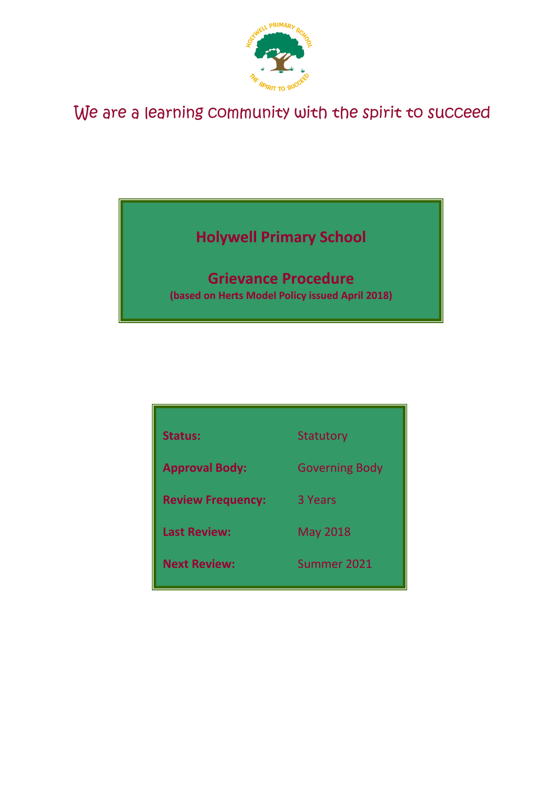

# We are a learning community with the spirit to succeed

## **Holywell Primary School**

## **Grievance Procedure**

**(based on Herts Model Policy issued April 2018)**

| <b>Status:</b>           | <b>Statutory</b>      |
|--------------------------|-----------------------|
| <b>Approval Body:</b>    | <b>Governing Body</b> |
| <b>Review Frequency:</b> | 3 Years               |
| <b>Last Review:</b>      | <b>May 2018</b>       |
| <b>Next Review:</b>      | Summer 2021           |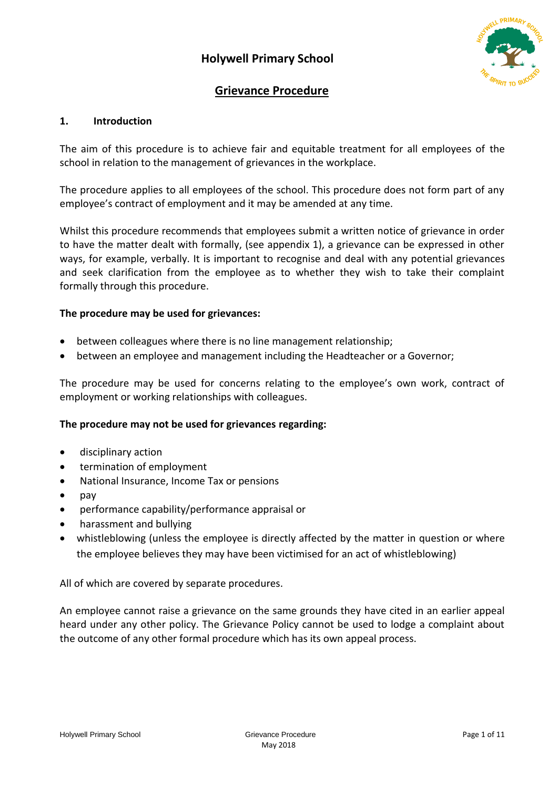## **Holywell Primary School**



## **Grievance Procedure**

## **1. Introduction**

The aim of this procedure is to achieve fair and equitable treatment for all employees of the school in relation to the management of grievances in the workplace.

The procedure applies to all employees of the school. This procedure does not form part of any employee's contract of employment and it may be amended at any time.

Whilst this procedure recommends that employees submit a written notice of grievance in order to have the matter dealt with formally, (see appendix 1), a grievance can be expressed in other ways, for example, verbally. It is important to recognise and deal with any potential grievances and seek clarification from the employee as to whether they wish to take their complaint formally through this procedure.

#### **The procedure may be used for grievances:**

- between colleagues where there is no line management relationship;
- between an employee and management including the Headteacher or a Governor;

The procedure may be used for concerns relating to the employee's own work, contract of employment or working relationships with colleagues.

#### **The procedure may not be used for grievances regarding:**

- disciplinary action
- termination of employment
- National Insurance, Income Tax or pensions
- $\bullet$  pay
- performance capability/performance appraisal or
- harassment and bullying
- whistleblowing (unless the employee is directly affected by the matter in question or where the employee believes they may have been victimised for an act of whistleblowing)

All of which are covered by separate procedures.

An employee cannot raise a grievance on the same grounds they have cited in an earlier appeal heard under any other policy. The Grievance Policy cannot be used to lodge a complaint about the outcome of any other formal procedure which has its own appeal process.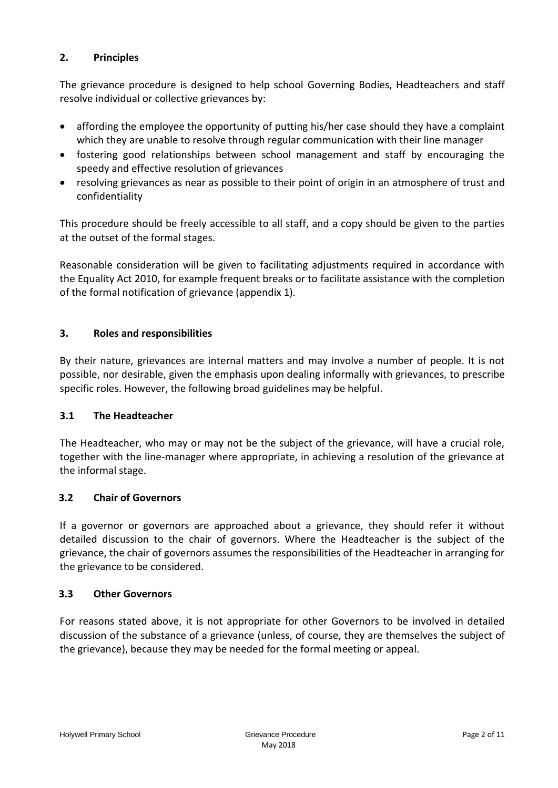## **2. Principles**

The grievance procedure is designed to help school Governing Bodies, Headteachers and staff resolve individual or collective grievances by:

- affording the employee the opportunity of putting his/her case should they have a complaint which they are unable to resolve through regular communication with their line manager
- fostering good relationships between school management and staff by encouraging the speedy and effective resolution of grievances
- resolving grievances as near as possible to their point of origin in an atmosphere of trust and confidentiality

This procedure should be freely accessible to all staff, and a copy should be given to the parties at the outset of the formal stages.

Reasonable consideration will be given to facilitating adjustments required in accordance with the Equality Act 2010, for example frequent breaks or to facilitate assistance with the completion of the formal notification of grievance (appendix 1).

## **3. Roles and responsibilities**

By their nature, grievances are internal matters and may involve a number of people. It is not possible, nor desirable, given the emphasis upon dealing informally with grievances, to prescribe specific roles. However, the following broad guidelines may be helpful.

#### **3.1 The Headteacher**

The Headteacher, who may or may not be the subject of the grievance, will have a crucial role, together with the line-manager where appropriate, in achieving a resolution of the grievance at the informal stage.

## **3.2 Chair of Governors**

If a governor or governors are approached about a grievance, they should refer it without detailed discussion to the chair of governors. Where the Headteacher is the subject of the grievance, the chair of governors assumes the responsibilities of the Headteacher in arranging for the grievance to be considered.

#### **3.3 Other Governors**

For reasons stated above, it is not appropriate for other Governors to be involved in detailed discussion of the substance of a grievance (unless, of course, they are themselves the subject of the grievance), because they may be needed for the formal meeting or appeal.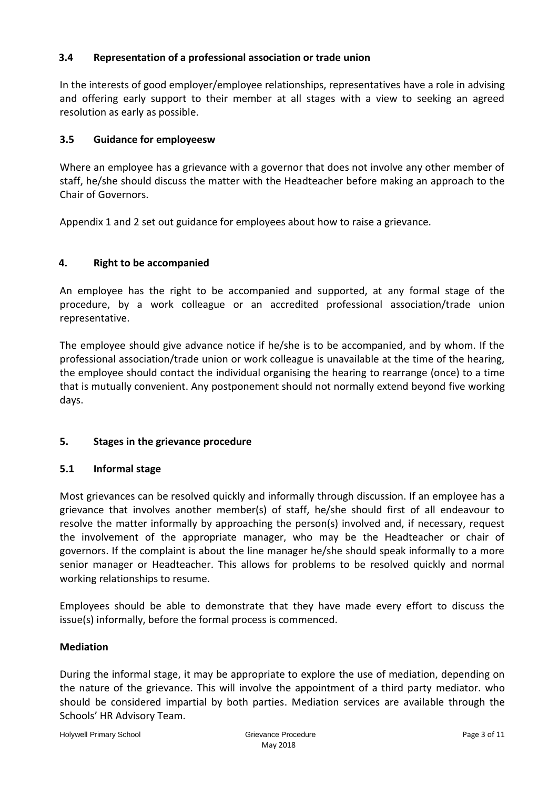## **3.4 Representation of a professional association or trade union**

In the interests of good employer/employee relationships, representatives have a role in advising and offering early support to their member at all stages with a view to seeking an agreed resolution as early as possible.

#### **3.5 Guidance for employeesw**

Where an employee has a grievance with a governor that does not involve any other member of staff, he/she should discuss the matter with the Headteacher before making an approach to the Chair of Governors.

Appendix 1 and 2 set out guidance for employees about how to raise a grievance.

#### **4. Right to be accompanied**

An employee has the right to be accompanied and supported, at any formal stage of the procedure, by a work colleague or an accredited professional association/trade union representative.

The employee should give advance notice if he/she is to be accompanied, and by whom. If the professional association/trade union or work colleague is unavailable at the time of the hearing, the employee should contact the individual organising the hearing to rearrange (once) to a time that is mutually convenient. Any postponement should not normally extend beyond five working days.

## **5. Stages in the grievance procedure**

#### **5.1 Informal stage**

Most grievances can be resolved quickly and informally through discussion. If an employee has a grievance that involves another member(s) of staff, he/she should first of all endeavour to resolve the matter informally by approaching the person(s) involved and, if necessary, request the involvement of the appropriate manager, who may be the Headteacher or chair of governors. If the complaint is about the line manager he/she should speak informally to a more senior manager or Headteacher. This allows for problems to be resolved quickly and normal working relationships to resume.

Employees should be able to demonstrate that they have made every effort to discuss the issue(s) informally, before the formal process is commenced.

#### **Mediation**

During the informal stage, it may be appropriate to explore the use of mediation, depending on the nature of the grievance. This will involve the appointment of a third party mediator. who should be considered impartial by both parties. Mediation services are available through the Schools' HR Advisory Team.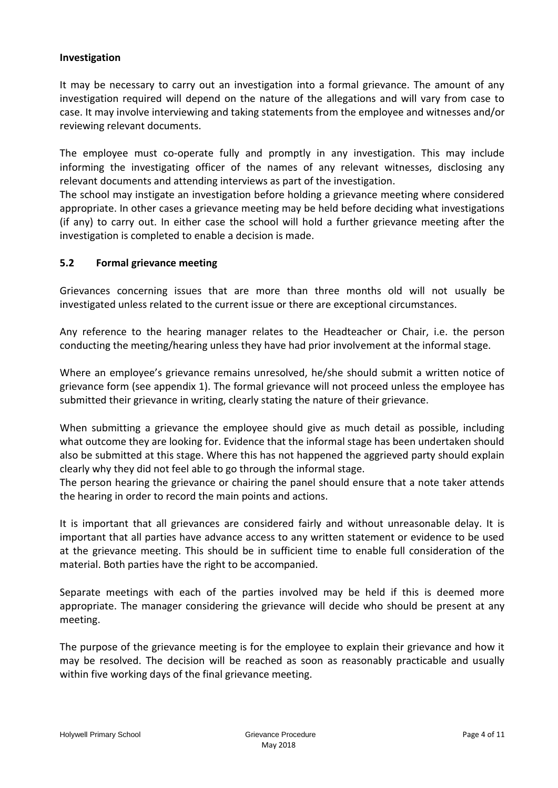#### **Investigation**

It may be necessary to carry out an investigation into a formal grievance. The amount of any investigation required will depend on the nature of the allegations and will vary from case to case. It may involve interviewing and taking statements from the employee and witnesses and/or reviewing relevant documents.

The employee must co-operate fully and promptly in any investigation. This may include informing the investigating officer of the names of any relevant witnesses, disclosing any relevant documents and attending interviews as part of the investigation.

The school may instigate an investigation before holding a grievance meeting where considered appropriate. In other cases a grievance meeting may be held before deciding what investigations (if any) to carry out. In either case the school will hold a further grievance meeting after the investigation is completed to enable a decision is made.

#### **5.2 Formal grievance meeting**

Grievances concerning issues that are more than three months old will not usually be investigated unless related to the current issue or there are exceptional circumstances.

Any reference to the hearing manager relates to the Headteacher or Chair, i.e. the person conducting the meeting/hearing unless they have had prior involvement at the informal stage.

Where an employee's grievance remains unresolved, he/she should submit a written notice of grievance form (see appendix 1). The formal grievance will not proceed unless the employee has submitted their grievance in writing, clearly stating the nature of their grievance.

When submitting a grievance the employee should give as much detail as possible, including what outcome they are looking for. Evidence that the informal stage has been undertaken should also be submitted at this stage. Where this has not happened the aggrieved party should explain clearly why they did not feel able to go through the informal stage.

The person hearing the grievance or chairing the panel should ensure that a note taker attends the hearing in order to record the main points and actions.

It is important that all grievances are considered fairly and without unreasonable delay. It is important that all parties have advance access to any written statement or evidence to be used at the grievance meeting. This should be in sufficient time to enable full consideration of the material. Both parties have the right to be accompanied.

Separate meetings with each of the parties involved may be held if this is deemed more appropriate. The manager considering the grievance will decide who should be present at any meeting.

The purpose of the grievance meeting is for the employee to explain their grievance and how it may be resolved. The decision will be reached as soon as reasonably practicable and usually within five working days of the final grievance meeting.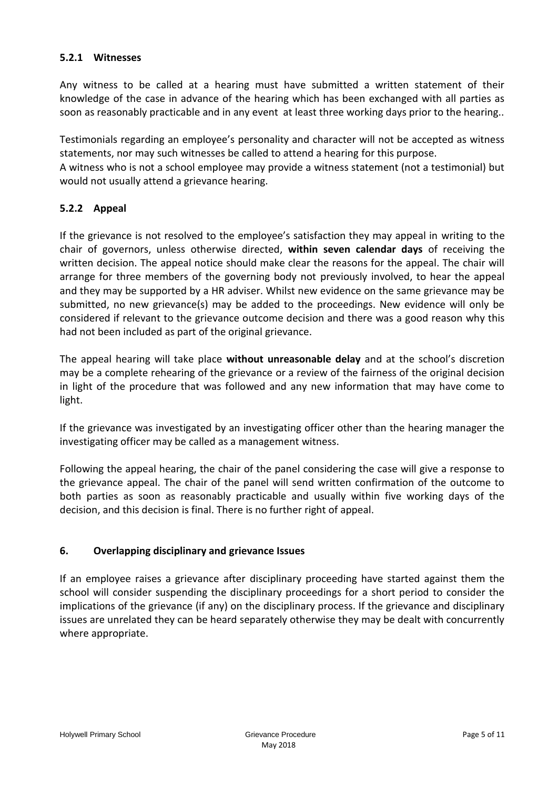## **5.2.1 Witnesses**

Any witness to be called at a hearing must have submitted a written statement of their knowledge of the case in advance of the hearing which has been exchanged with all parties as soon as reasonably practicable and in any event at least three working days prior to the hearing..

Testimonials regarding an employee's personality and character will not be accepted as witness statements, nor may such witnesses be called to attend a hearing for this purpose.

A witness who is not a school employee may provide a witness statement (not a testimonial) but would not usually attend a grievance hearing.

## **5.2.2 Appeal**

If the grievance is not resolved to the employee's satisfaction they may appeal in writing to the chair of governors, unless otherwise directed, **within seven calendar days** of receiving the written decision. The appeal notice should make clear the reasons for the appeal. The chair will arrange for three members of the governing body not previously involved, to hear the appeal and they may be supported by a HR adviser. Whilst new evidence on the same grievance may be submitted, no new grievance(s) may be added to the proceedings. New evidence will only be considered if relevant to the grievance outcome decision and there was a good reason why this had not been included as part of the original grievance.

The appeal hearing will take place **without unreasonable delay** and at the school's discretion may be a complete rehearing of the grievance or a review of the fairness of the original decision in light of the procedure that was followed and any new information that may have come to light.

If the grievance was investigated by an investigating officer other than the hearing manager the investigating officer may be called as a management witness.

Following the appeal hearing, the chair of the panel considering the case will give a response to the grievance appeal. The chair of the panel will send written confirmation of the outcome to both parties as soon as reasonably practicable and usually within five working days of the decision, and this decision is final. There is no further right of appeal.

## **6. Overlapping disciplinary and grievance Issues**

If an employee raises a grievance after disciplinary proceeding have started against them the school will consider suspending the disciplinary proceedings for a short period to consider the implications of the grievance (if any) on the disciplinary process. If the grievance and disciplinary issues are unrelated they can be heard separately otherwise they may be dealt with concurrently where appropriate.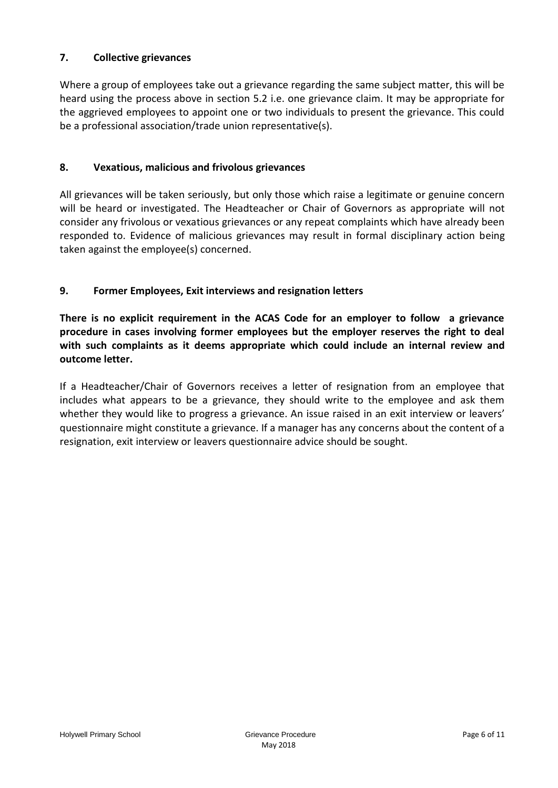## **7. Collective grievances**

Where a group of employees take out a grievance regarding the same subject matter, this will be heard using the process above in section 5.2 i.e. one grievance claim. It may be appropriate for the aggrieved employees to appoint one or two individuals to present the grievance. This could be a professional association/trade union representative(s).

#### **8. Vexatious, malicious and frivolous grievances**

All grievances will be taken seriously, but only those which raise a legitimate or genuine concern will be heard or investigated. The Headteacher or Chair of Governors as appropriate will not consider any frivolous or vexatious grievances or any repeat complaints which have already been responded to. Evidence of malicious grievances may result in formal disciplinary action being taken against the employee(s) concerned.

## **9. Former Employees, Exit interviews and resignation letters**

**There is no explicit requirement in the ACAS Code for an employer to follow a grievance procedure in cases involving former employees but the employer reserves the right to deal with such complaints as it deems appropriate which could include an internal review and outcome letter.**

If a Headteacher/Chair of Governors receives a letter of resignation from an employee that includes what appears to be a grievance, they should write to the employee and ask them whether they would like to progress a grievance. An issue raised in an exit interview or leavers' questionnaire might constitute a grievance. If a manager has any concerns about the content of a resignation, exit interview or leavers questionnaire advice should be sought.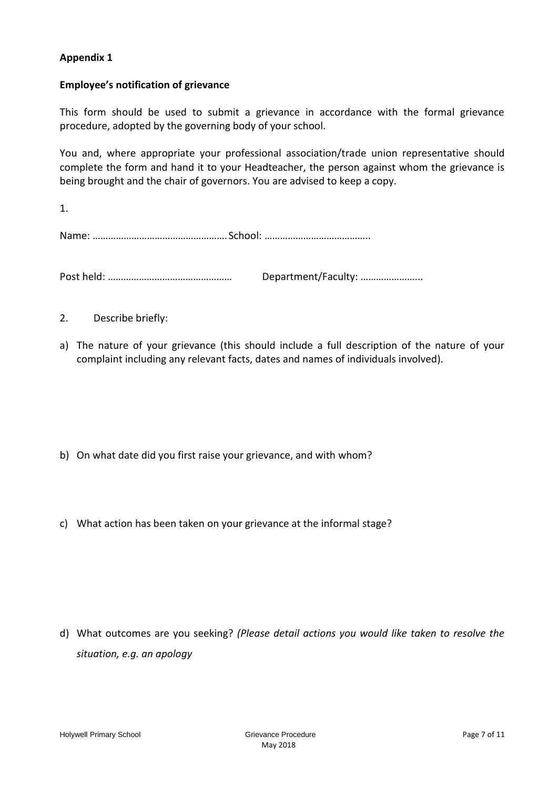## **Appendix 1**

#### **Employee's notification of grievance**

This form should be used to submit a grievance in accordance with the formal grievance procedure, adopted by the governing body of your school.

You and, where appropriate your professional association/trade union representative should complete the form and hand it to your Headteacher, the person against whom the grievance is being brought and the chair of governors. You are advised to keep a copy.

1. Name: …………………………………………….School: …………………………………..

Post held: ………………………………………… Department/Faculty: …………………...

- 2. Describe briefly:
- a) The nature of your grievance (this should include a full description of the nature of your complaint including any relevant facts, dates and names of individuals involved).

- b) On what date did you first raise your grievance, and with whom?
- c) What action has been taken on your grievance at the informal stage?

d) What outcomes are you seeking? *(Please detail actions you would like taken to resolve the situation, e.g. an apology*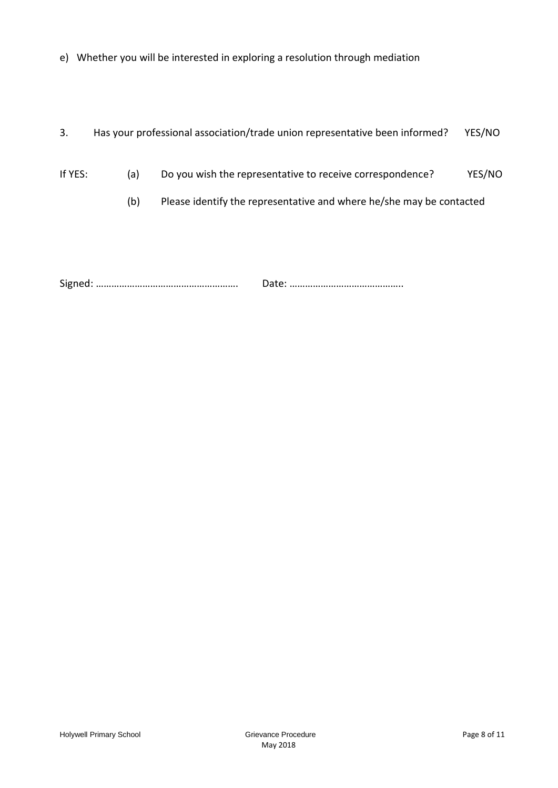- e) Whether you will be interested in exploring a resolution through mediation
- 3. Has your professional association/trade union representative been informed? YES/NO
- If YES: (a) Do you wish the representative to receive correspondence? YES/NO
	- (b) Please identify the representative and where he/she may be contacted

Signed: ………………………………………………. Date: ……………………………………..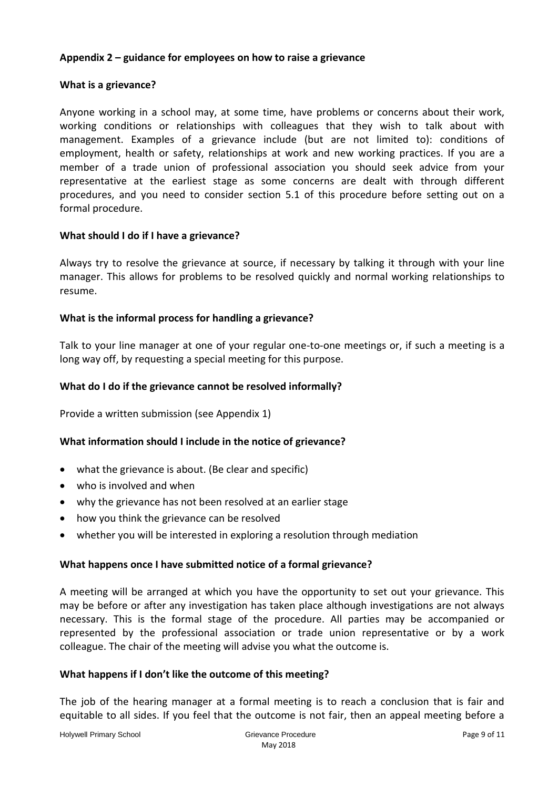#### **Appendix 2 – guidance for employees on how to raise a grievance**

#### **What is a grievance?**

Anyone working in a school may, at some time, have problems or concerns about their work, working conditions or relationships with colleagues that they wish to talk about with management. Examples of a grievance include (but are not limited to): conditions of employment, health or safety, relationships at work and new working practices. If you are a member of a trade union of professional association you should seek advice from your representative at the earliest stage as some concerns are dealt with through different procedures, and you need to consider section 5.1 of this procedure before setting out on a formal procedure.

#### **What should I do if I have a grievance?**

Always try to resolve the grievance at source, if necessary by talking it through with your line manager. This allows for problems to be resolved quickly and normal working relationships to resume.

#### **What is the informal process for handling a grievance?**

Talk to your line manager at one of your regular one-to-one meetings or, if such a meeting is a long way off, by requesting a special meeting for this purpose.

#### **What do I do if the grievance cannot be resolved informally?**

Provide a written submission (see Appendix 1)

#### **What information should I include in the notice of grievance?**

- what the grievance is about. (Be clear and specific)
- who is involved and when
- why the grievance has not been resolved at an earlier stage
- how you think the grievance can be resolved
- whether you will be interested in exploring a resolution through mediation

#### **What happens once I have submitted notice of a formal grievance?**

A meeting will be arranged at which you have the opportunity to set out your grievance. This may be before or after any investigation has taken place although investigations are not always necessary. This is the formal stage of the procedure. All parties may be accompanied or represented by the professional association or trade union representative or by a work colleague. The chair of the meeting will advise you what the outcome is.

#### **What happens if I don't like the outcome of this meeting?**

The job of the hearing manager at a formal meeting is to reach a conclusion that is fair and equitable to all sides. If you feel that the outcome is not fair, then an appeal meeting before a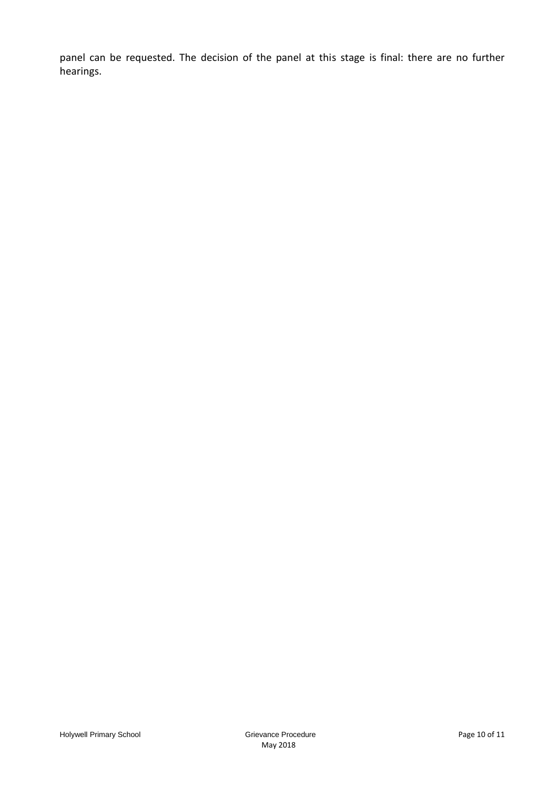panel can be requested. The decision of the panel at this stage is final: there are no further hearings.